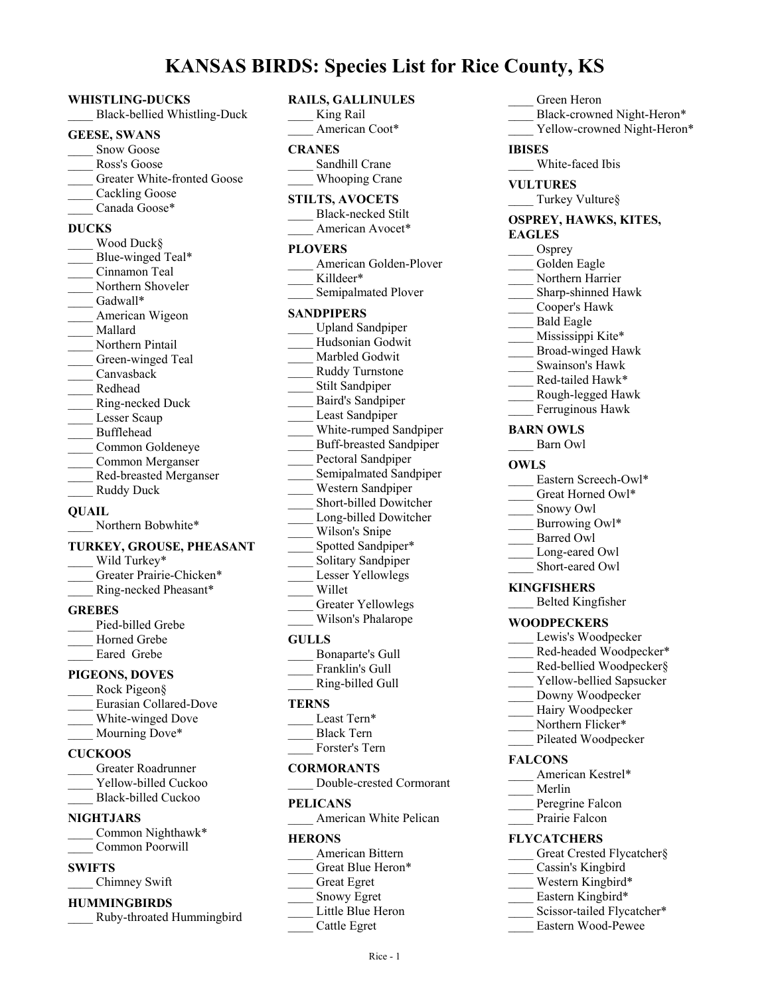# **KANSAS BIRDS: Species List for Rice County, KS**

### **WHISTLING-DUCKS**

\_\_\_\_ Black-bellied Whistling-Duck

### **GEESE, SWANS**

- Snow Goose
- Ross's Goose
- Greater White-fronted Goose
- Cackling Goose
- Canada Goose\*

### **DUCKS**

Wood Duck§ Blue-winged Teal\* \_\_\_\_ Cinnamon Teal Northern Shoveler Gadwall\* American Wigeon \_\_\_\_ Mallard Northern Pintail Green-winged Teal \_\_\_\_ Canvasback \_\_\_\_ Redhead \_\_\_\_ Ring-necked Duck Lesser Scaup \_\_\_\_ Bufflehead \_\_\_\_ Common Goldeneye \_\_\_\_ Common Merganser \_\_\_\_ Red-breasted Merganser Ruddy Duck **QUAIL**

# Northern Bobwhite\*

### **TURKEY, GROUSE, PHEASANT**

- Wild Turkey\*
- Greater Prairie-Chicken\* \_\_\_\_ Ring-necked Pheasant\*
- **GREBES**
- Pied-billed Grebe
- Horned Grebe
- Eared Grebe

# **PIGEONS, DOVES**

Rock Pigeon§ \_\_\_\_ Eurasian Collared-Dove White-winged Dove Mourning Dove\*

### **CUCKOOS**

\_\_\_\_ Greater Roadrunner Yellow-billed Cuckoo \_\_\_\_ Black-billed Cuckoo

### **NIGHTJARS**

Common Nighthawk\* \_\_\_\_ Common Poorwill

# **SWIFTS**

\_\_\_\_ Chimney Swift

### **HUMMINGBIRDS**

\_\_\_\_ Ruby-throated Hummingbird

# **RAILS, GALLINULES**

| King Rail      |
|----------------|
| American Coot* |

### **CRANES**

Sandhill Crane Whooping Crane

### **STILTS, AVOCETS**

Black-necked Stilt American Avocet\*

### **PLOVERS**

|            | American Golden-Plover  |  |
|------------|-------------------------|--|
|            | Killdeer*               |  |
|            | Semipalmated Plover     |  |
| SANDPIPERS |                         |  |
|            | <b>Upland Sandpiper</b> |  |
|            | Hudsonian Godwit        |  |

Marbled Godwit \_\_\_\_ Ruddy Turnstone Stilt Sandpiper \_\_\_\_ Baird's Sandpiper Least Sandpiper White-rumped Sandpiper \_\_\_\_ Buff-breasted Sandpiper Pectoral Sandpiper Semipalmated Sandpiper \_\_\_\_ Western Sandpiper \_\_\_\_ Short-billed Dowitcher Long-billed Dowitcher Wilson's Snipe Spotted Sandpiper\* Solitary Sandpiper Lesser Yellowlegs \_\_\_\_ Willet Greater Yellowlegs

\_\_\_\_ Wilson's Phalarope **GULLS**

\_\_\_\_ Bonaparte's Gull Franklin's Gull

\_\_\_\_ Ring-billed Gull

# **TERNS**

Least Tern\*

\_\_\_\_ Black Tern

Forster's Tern

# **CORMORANTS**

\_\_\_\_ Double-crested Cormorant

### **PELICANS**

American White Pelican

Rice - 1

### **HERONS**

- \_\_\_\_ American Bittern
- Great Blue Heron\*
- \_\_\_\_ Great Egret
- \_\_\_\_ Snowy Egret
- Little Blue Heron
- \_\_\_\_ Cattle Egret

# \_\_\_\_ Green Heron

- Black-crowned Night-Heron\*
- Yellow-crowned Night-Heron\*

### **IBISES**

White-faced Ibis

### **VULTURES**

Turkey Vulture§

### **OSPREY, HAWKS, KITES, EAGLES**

- Osprey Golden Eagle
- Northern Harrier
- Sharp-shinned Hawk
- \_\_\_\_ Cooper's Hawk
- \_\_\_\_ Bald Eagle
- Mississippi Kite\*
- \_\_\_\_ Broad-winged Hawk
- \_\_\_\_ Swainson's Hawk
- Red-tailed Hawk\*
- \_\_\_\_ Rough-legged Hawk
- Ferruginous Hawk

### **BARN OWLS**

\_\_\_\_ Barn Owl

### **OWLS**

- Eastern Screech-Owl\*
- Great Horned Owl\*
- \_\_\_\_ Snowy Owl
- Burrowing Owl\*
- Barred Owl
- Long-eared Owl
- Short-eared Owl

#### **KINGFISHERS**

\_\_\_\_ Belted Kingfisher

### **WOODPECKERS**

- Lewis's Woodpecker
- Red-headed Woodpecker\*
- Red-bellied Woodpecker§
- Yellow-bellied Sapsucker
- Downy Woodpecker
- Hairy Woodpecker
- Northern Flicker\*
- Pileated Woodpecker

#### **FALCONS**

- American Kestrel\*
- \_\_\_\_ Merlin
- Peregrine Falcon Prairie Falcon

Great Crested Flycatcher§

Cassin's Kingbird Western Kingbird\* Eastern Kingbird\* Scissor-tailed Flycatcher\* \_\_\_\_ Eastern Wood-Pewee

**FLYCATCHERS**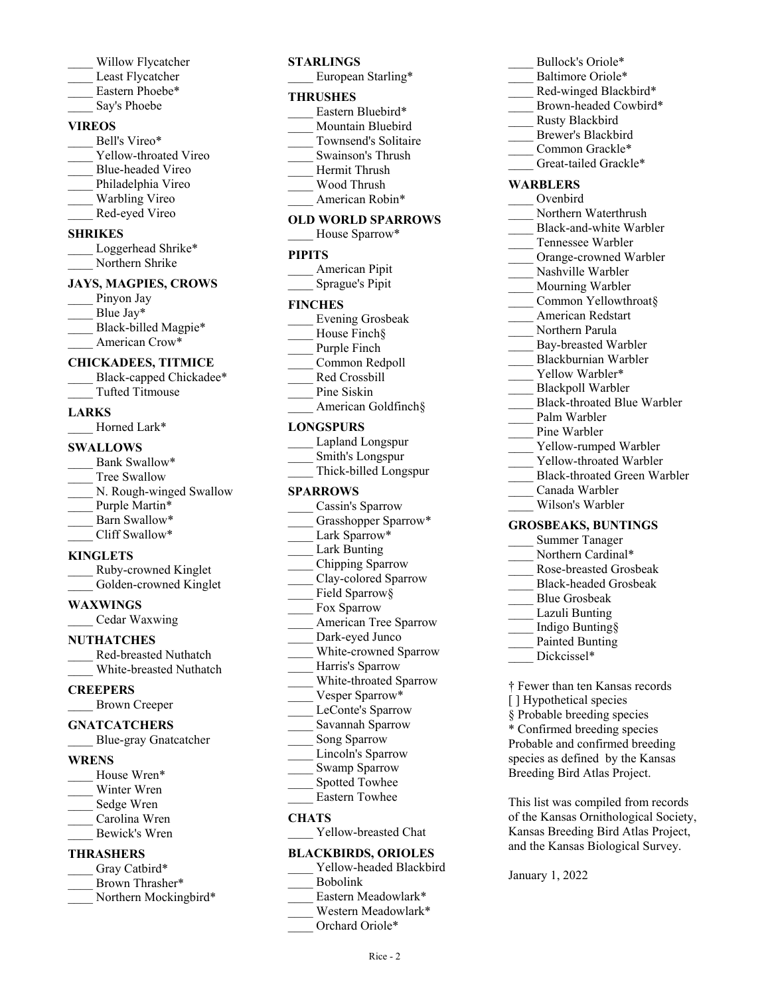- Willow Flycatcher
- Least Flycatcher
- Eastern Phoebe\*
- Say's Phoebe

# **VIREOS**

Bell's Vireo\* Yellow-throated Vireo \_\_\_\_ Blue-headed Vireo Philadelphia Vireo Warbling Vireo \_\_\_\_ Red-eyed Vireo

# **SHRIKES**

| Loggerhead Shrike* |  |
|--------------------|--|
| Northern Shrike    |  |

# **JAYS, MAGPIES, CROWS**

Pinyon Jay Blue Jay\* Black-billed Magpie\* American Crow\*

# **CHICKADEES, TITMICE**

Black-capped Chickadee\* \_\_\_\_ Tufted Titmouse

### **LARKS**

Horned Lark\*

# **SWALLOWS**

Bank Swallow\* Tree Swallow N. Rough-winged Swallow Purple Martin\* Barn Swallow\* Cliff Swallow\*

# **KINGLETS**

| Ruby-crowned Kinglet   |
|------------------------|
| Golden-crowned Kinglet |

### **WAXWINGS**

\_\_\_\_ Cedar Waxwing

# **NUTHATCHES**

\_\_\_\_ Red-breasted Nuthatch White-breasted Nuthatch

# **CREEPERS**

\_\_\_\_ Brown Creeper

# **GNATCATCHERS**

\_\_\_\_ Blue-gray Gnatcatcher

# **WRENS**

House Wren\* Winter Wren Sedge Wren \_\_\_\_ Carolina Wren \_\_\_\_ Bewick's Wren

# **THRASHERS**

Gray Catbird\* Brown Thrasher\* Northern Mockingbird\*

# **STARLINGS**

\_\_\_\_ European Starling\*

# **THRUSHES**

- Eastern Bluebird\* Mountain Bluebird
- \_\_\_\_ Townsend's Solitaire
- \_\_\_\_ Swainson's Thrush
- \_\_\_\_ Hermit Thrush
- \_\_\_\_ Wood Thrush
- American Robin\*

# **OLD WORLD SPARROWS**

- House Sparrow\*
- **PIPITS**

| American Pipit  |
|-----------------|
| Sprague's Pipit |

### **FINCHES**

- \_\_\_\_ Evening Grosbeak House Finch§
- Purple Finch
- \_\_\_\_ Common Redpoll
- \_\_\_\_ Red Crossbill
- Pine Siskin
- American Goldfinch§

# **LONGSPURS**

| Lapland Longspur |
|------------------|
| Smith's Longspur |

| Thick-billed Longspur |  |
|-----------------------|--|

# **SPARROWS**

- Cassin's Sparrow Grasshopper Sparrow\* Lark Sparrow\* Lark Bunting \_\_\_\_ Chipping Sparrow \_\_\_\_ Clay-colored Sparrow Field Sparrow§ \_\_\_\_ Fox Sparrow American Tree Sparrow Dark-eyed Junco White-crowned Sparrow Harris's Sparrow \_\_\_\_ White-throated Sparrow Vesper Sparrow\* LeConte's Sparrow \_\_\_\_ Savannah Sparrow Song Sparrow Lincoln's Sparrow
- Swamp Sparrow
- Spotted Towhee
- \_\_\_\_ Eastern Towhee

# **CHATS**

\_\_\_\_ Yellow-breasted Chat

# **BLACKBIRDS, ORIOLES**

- Yellow-headed Blackbird \_\_\_\_ Bobolink Eastern Meadowlark\*
- \_\_\_\_ Western Meadowlark\*
- Orchard Oriole\*
- Bullock's Oriole\* Baltimore Oriole\* Red-winged Blackbird\* Brown-headed Cowbird\* \_\_\_\_ Rusty Blackbird Brewer's Blackbird Common Grackle\* Great-tailed Grackle\* **WARBLERS** \_\_\_\_ Ovenbird Northern Waterthrush \_\_\_\_ Black-and-white Warbler \_\_\_\_ Tennessee Warbler Orange-crowned Warbler Nashville Warbler Mourning Warbler Common Yellowthroat§ \_\_\_\_ American Redstart Northern Parula Bay-breasted Warbler \_\_\_\_ Blackburnian Warbler Yellow Warbler\* \_\_\_\_ Blackpoll Warbler Black-throated Blue Warbler Palm Warbler Pine Warbler Yellow-rumped Warbler Yellow-throated Warbler
- \_\_\_\_ Black-throated Green Warbler
- \_\_\_\_ Canada Warbler
- Wilson's Warbler

# **GROSBEAKS, BUNTINGS**

- \_\_\_\_ Summer Tanager
- Northern Cardinal\*
- \_\_\_\_ Rose-breasted Grosbeak
- \_\_\_\_ Black-headed Grosbeak
- \_\_\_\_ Blue Grosbeak
- Lazuli Bunting
- \_\_\_\_ Indigo Bunting§
- Painted Bunting
- Dickcissel\*
- † Fewer than ten Kansas records
- [] Hypothetical species
- § Probable breeding species

\* Confirmed breeding species Probable and confirmed breeding species as defined by the Kansas Breeding Bird Atlas Project.

This list was compiled from records of the Kansas Ornithological Society, Kansas Breeding Bird Atlas Project, and the Kansas Biological Survey.

January 1, 2022